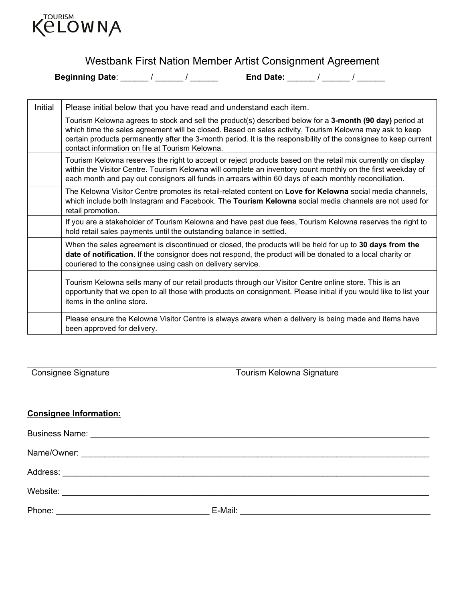

# Westbank First Nation Member Artist Consignment Agreement

**Beginning Date**: \_\_\_\_\_\_ / \_\_\_\_\_\_ / \_\_\_\_\_\_ **End Date:** \_\_\_\_\_\_ / \_\_\_\_\_\_ / \_\_\_\_\_\_

| Initial | Please initial below that you have read and understand each item.                                                                                                                                                                                                                                                                                                                          |
|---------|--------------------------------------------------------------------------------------------------------------------------------------------------------------------------------------------------------------------------------------------------------------------------------------------------------------------------------------------------------------------------------------------|
|         | Tourism Kelowna agrees to stock and sell the product(s) described below for a 3-month (90 day) period at<br>which time the sales agreement will be closed. Based on sales activity, Tourism Kelowna may ask to keep<br>certain products permanently after the 3-month period. It is the responsibility of the consignee to keep current<br>contact information on file at Tourism Kelowna. |
|         | Tourism Kelowna reserves the right to accept or reject products based on the retail mix currently on display<br>within the Visitor Centre. Tourism Kelowna will complete an inventory count monthly on the first weekday of<br>each month and pay out consignors all funds in arrears within 60 days of each monthly reconciliation.                                                       |
|         | The Kelowna Visitor Centre promotes its retail-related content on Love for Kelowna social media channels,<br>which include both Instagram and Facebook. The Tourism Kelowna social media channels are not used for<br>retail promotion.                                                                                                                                                    |
|         | If you are a stakeholder of Tourism Kelowna and have past due fees, Tourism Kelowna reserves the right to<br>hold retail sales payments until the outstanding balance in settled.                                                                                                                                                                                                          |
|         | When the sales agreement is discontinued or closed, the products will be held for up to 30 days from the<br>date of notification. If the consignor does not respond, the product will be donated to a local charity or<br>couriered to the consignee using cash on delivery service.                                                                                                       |
|         | Tourism Kelowna sells many of our retail products through our Visitor Centre online store. This is an<br>opportunity that we open to all those with products on consignment. Please initial if you would like to list your<br>items in the online store.                                                                                                                                   |
|         | Please ensure the Kelowna Visitor Centre is always aware when a delivery is being made and items have<br>been approved for delivery.                                                                                                                                                                                                                                                       |

Consignee Signature Tourism Kelowna Signature

#### **Consignee Information:**

| Phone: | E-Mail:<br><u> 1980 - Jan Samuel Barbara, margaret e populazion del control del control del control del control de la control del c</u> |
|--------|-----------------------------------------------------------------------------------------------------------------------------------------|